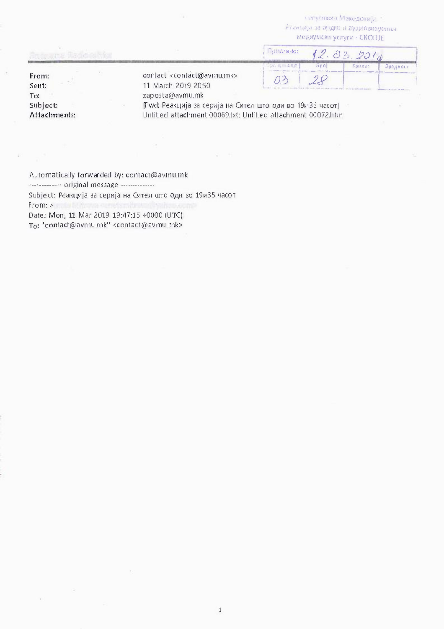IL' 'yt.101\Kal Make Dolly } a  $\ell$  ) antitive за аудию и аудиовизуенн.4. Me11ayMcKt1 ycnyru - CKOnJE

|                |                                                                     | примено:             |      | 2.03.201       |          |  |
|----------------|---------------------------------------------------------------------|----------------------|------|----------------|----------|--|
|                |                                                                     | <b>BIF 67 4 2507</b> | bool | <b>ROLUTOS</b> | Врадност |  |
| From:<br>Sent: | contact <contact@avmu.mk><br/>11 March 2019 20:50</contact@avmu.mk> |                      |      |                |          |  |
| To:            | zaposta@avmu.mk                                                     |                      |      |                |          |  |

Subject: Attachments: [Fwd: Реакција за серија на Сител што оди во 19и135 часот] Untitled attachment 00069.txt; Untitled attachment 00072.htm

Automatically forwarded by: contact@avmu.mk ------------- original message ---------------T<sub>O</sub>: "contact@avmu.mk" <contact@avmu.mk> Subject: Реакција за серија на Сител што оди во 19и35 часот From: > and Millervia series in the station occu Date: Mon, 11 Mar 2019 19:47:15 +0000 (UTC)